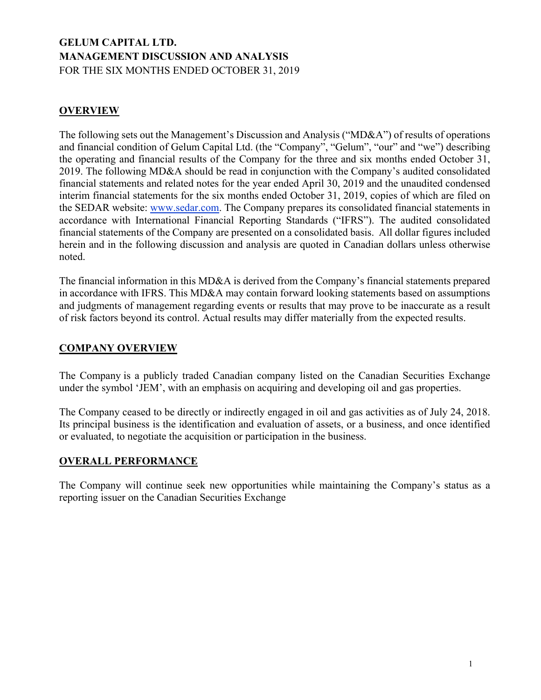# **GELUM CAPITAL LTD. MANAGEMENT DISCUSSION AND ANALYSIS** FOR THE SIX MONTHS ENDED OCTOBER 31, 2019

## **OVERVIEW**

The following sets out the Management's Discussion and Analysis ("MD&A") of results of operations and financial condition of Gelum Capital Ltd. (the "Company", "Gelum", "our" and "we") describing the operating and financial results of the Company for the three and six months ended October 31, 2019. The following MD&A should be read in conjunction with the Company's audited consolidated financial statements and related notes for the year ended April 30, 2019 and the unaudited condensed interim financial statements for the six months ended October 31, 2019, copies of which are filed on the SEDAR website: www.sedar.com. The Company prepares its consolidated financial statements in accordance with International Financial Reporting Standards ("IFRS"). The audited consolidated financial statements of the Company are presented on a consolidated basis. All dollar figures included herein and in the following discussion and analysis are quoted in Canadian dollars unless otherwise noted.

The financial information in this MD&A is derived from the Company's financial statements prepared in accordance with IFRS. This MD&A may contain forward looking statements based on assumptions and judgments of management regarding events or results that may prove to be inaccurate as a result of risk factors beyond its control. Actual results may differ materially from the expected results.

### **COMPANY OVERVIEW**

The Company is a publicly traded Canadian company listed on the Canadian Securities Exchange under the symbol 'JEM', with an emphasis on acquiring and developing oil and gas properties.

The Company ceased to be directly or indirectly engaged in oil and gas activities as of July 24, 2018. Its principal business is the identification and evaluation of assets, or a business, and once identified or evaluated, to negotiate the acquisition or participation in the business.

## **OVERALL PERFORMANCE**

The Company will continue seek new opportunities while maintaining the Company's status as a reporting issuer on the Canadian Securities Exchange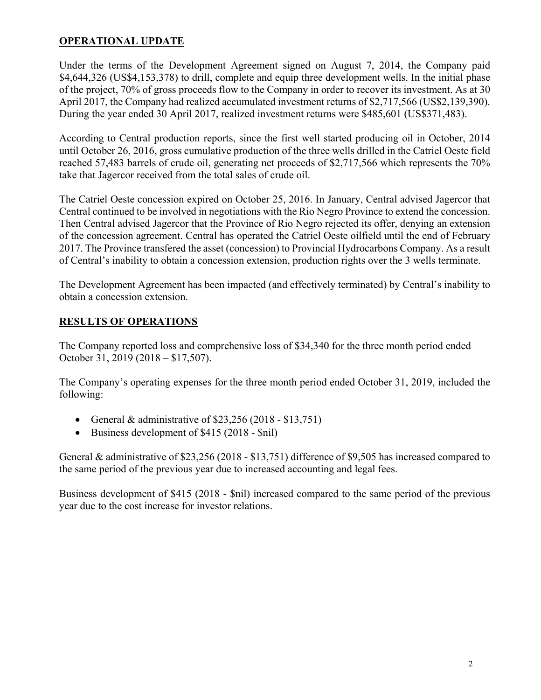# **OPERATIONAL UPDATE**

Under the terms of the Development Agreement signed on August 7, 2014, the Company paid \$4,644,326 (US\$4,153,378) to drill, complete and equip three development wells. In the initial phase of the project, 70% of gross proceeds flow to the Company in order to recover its investment. As at 30 April 2017, the Company had realized accumulated investment returns of \$2,717,566 (US\$2,139,390). During the year ended 30 April 2017, realized investment returns were \$485,601 (US\$371,483).

According to Central production reports, since the first well started producing oil in October, 2014 until October 26, 2016, gross cumulative production of the three wells drilled in the Catriel Oeste field reached 57,483 barrels of crude oil, generating net proceeds of \$2,717,566 which represents the 70% take that Jagercor received from the total sales of crude oil.

The Catriel Oeste concession expired on October 25, 2016. In January, Central advised Jagercor that Central continued to be involved in negotiations with the Rio Negro Province to extend the concession. Then Central advised Jagercor that the Province of Rio Negro rejected its offer, denying an extension of the concession agreement. Central has operated the Catriel Oeste oilfield until the end of February 2017. The Province transfered the asset (concession) to Provincial Hydrocarbons Company. As a result of Central's inability to obtain a concession extension, production rights over the 3 wells terminate.

The Development Agreement has been impacted (and effectively terminated) by Central's inability to obtain a concession extension.

# **RESULTS OF OPERATIONS**

The Company reported loss and comprehensive loss of \$34,340 for the three month period ended October 31, 2019 (2018 – \$17,507).

The Company's operating expenses for the three month period ended October 31, 2019, included the following:

- General & administrative of  $$23,256 (2018 $13,751)$
- Business development of \$415 (2018 \$nil)

General & administrative of \$23,256 (2018 - \$13,751) difference of \$9,505 has increased compared to the same period of the previous year due to increased accounting and legal fees.

Business development of \$415 (2018 - \$nil) increased compared to the same period of the previous year due to the cost increase for investor relations.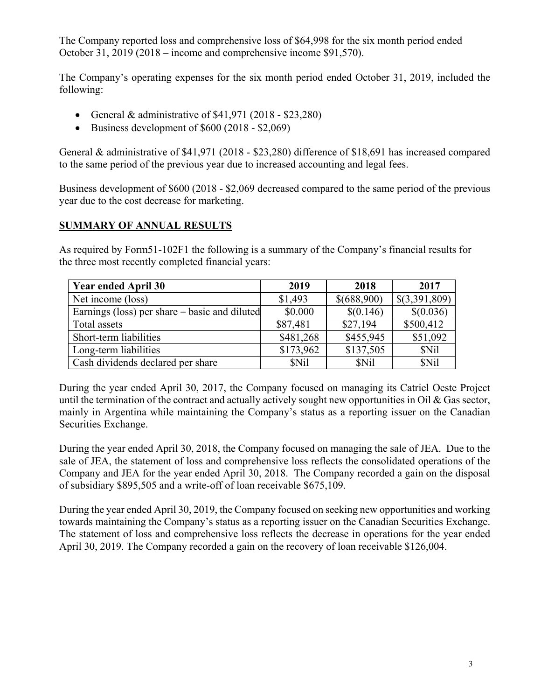The Company reported loss and comprehensive loss of \$64,998 for the six month period ended October 31, 2019 (2018 – income and comprehensive income \$91,570).

The Company's operating expenses for the six month period ended October 31, 2019, included the following:

- General & administrative of  $$41,971$  (2018 \$23,280)
- Business development of  $$600 (2018 $2,069)$

General & administrative of \$41,971 (2018 - \$23,280) difference of \$18,691 has increased compared to the same period of the previous year due to increased accounting and legal fees.

Business development of \$600 (2018 - \$2,069 decreased compared to the same period of the previous year due to the cost decrease for marketing.

# **SUMMARY OF ANNUAL RESULTS**

As required by Form51-102F1 the following is a summary of the Company's financial results for the three most recently completed financial years:

| <b>Year ended April 30</b>                    | 2019      | 2018        | 2017          |
|-----------------------------------------------|-----------|-------------|---------------|
| Net income (loss)                             | \$1,493   | \$(688,900) | \$(3,391,809) |
| Earnings (loss) per share – basic and diluted | \$0.000   | \$(0.146)   | \$(0.036)     |
| Total assets                                  | \$87,481  | \$27,194    | \$500,412     |
| Short-term liabilities                        | \$481,268 | \$455,945   | \$51,092      |
| Long-term liabilities                         | \$173,962 | \$137,505   | \$Nil         |
| Cash dividends declared per share             | \$Nil     | <b>SNil</b> | <b>SNil</b>   |

During the year ended April 30, 2017, the Company focused on managing its Catriel Oeste Project until the termination of the contract and actually actively sought new opportunities in Oil  $\&$  Gas sector, mainly in Argentina while maintaining the Company's status as a reporting issuer on the Canadian Securities Exchange.

During the year ended April 30, 2018, the Company focused on managing the sale of JEA. Due to the sale of JEA, the statement of loss and comprehensive loss reflects the consolidated operations of the Company and JEA for the year ended April 30, 2018. The Company recorded a gain on the disposal of subsidiary \$895,505 and a write-off of loan receivable \$675,109.

During the year ended April 30, 2019, the Company focused on seeking new opportunities and working towards maintaining the Company's status as a reporting issuer on the Canadian Securities Exchange. The statement of loss and comprehensive loss reflects the decrease in operations for the year ended April 30, 2019. The Company recorded a gain on the recovery of loan receivable \$126,004.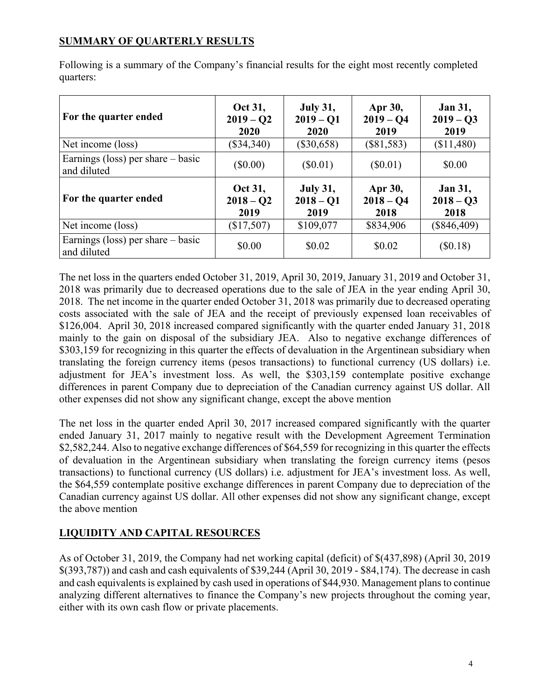# **SUMMARY OF QUARTERLY RESULTS**

| For the quarter ended                            | Oct 31,<br>$2019 - Q2$<br>2020 | <b>July 31,</b><br>$2019 - Q1$<br>2020 | Apr 30,<br>$2019 - Q4$<br>2019 | <b>Jan 31,</b><br>$2019 - Q3$<br>2019 |
|--------------------------------------------------|--------------------------------|----------------------------------------|--------------------------------|---------------------------------------|
| Net income (loss)                                | $(\$34,340)$                   | $(\$30,658)$                           | $(\$81,583)$                   | (\$11,480)                            |
| Earnings (loss) per share – basic<br>and diluted | $(\$0.00)$                     | $(\$0.01)$                             | $(\$0.01)$                     | \$0.00                                |
| For the quarter ended                            | Oct 31,<br>$2018 - Q2$         | <b>July 31,</b><br>$2018 - Q1$         | Apr 30,<br>$2018 - Q4$         | <b>Jan 31,</b><br>$2018 - Q3$         |
|                                                  | 2019                           | 2019                                   | 2018                           | 2018                                  |
| Net income (loss)                                | (\$17,507)                     | \$109,077                              | \$834,906                      | $(\$846,409)$                         |

Following is a summary of the Company's financial results for the eight most recently completed quarters:

The net loss in the quarters ended October 31, 2019, April 30, 2019, January 31, 2019 and October 31, 2018 was primarily due to decreased operations due to the sale of JEA in the year ending April 30, 2018. The net income in the quarter ended October 31, 2018 was primarily due to decreased operating costs associated with the sale of JEA and the receipt of previously expensed loan receivables of \$126,004. April 30, 2018 increased compared significantly with the quarter ended January 31, 2018 mainly to the gain on disposal of the subsidiary JEA. Also to negative exchange differences of \$303,159 for recognizing in this quarter the effects of devaluation in the Argentinean subsidiary when translating the foreign currency items (pesos transactions) to functional currency (US dollars) i.e. adjustment for JEA's investment loss. As well, the \$303,159 contemplate positive exchange differences in parent Company due to depreciation of the Canadian currency against US dollar. All other expenses did not show any significant change, except the above mention

The net loss in the quarter ended April 30, 2017 increased compared significantly with the quarter ended January 31, 2017 mainly to negative result with the Development Agreement Termination \$2,582,244. Also to negative exchange differences of \$64,559 for recognizing in this quarter the effects of devaluation in the Argentinean subsidiary when translating the foreign currency items (pesos transactions) to functional currency (US dollars) i.e. adjustment for JEA's investment loss. As well, the \$64,559 contemplate positive exchange differences in parent Company due to depreciation of the Canadian currency against US dollar. All other expenses did not show any significant change, except the above mention

# **LIQUIDITY AND CAPITAL RESOURCES**

As of October 31, 2019, the Company had net working capital (deficit) of \$(437,898) (April 30, 2019 \$(393,787)) and cash and cash equivalents of \$39,244 (April 30, 2019 - \$84,174). The decrease in cash and cash equivalents is explained by cash used in operations of \$44,930. Management plans to continue analyzing different alternatives to finance the Company's new projects throughout the coming year, either with its own cash flow or private placements.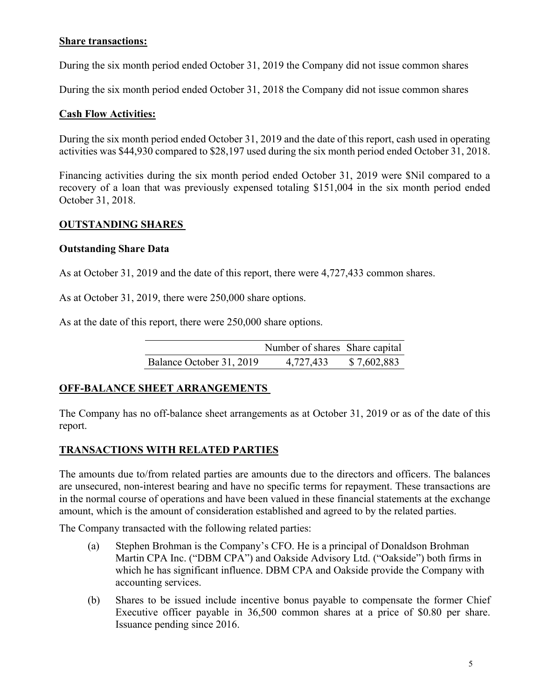## **Share transactions:**

During the six month period ended October 31, 2019 the Company did not issue common shares

During the six month period ended October 31, 2018 the Company did not issue common shares

### **Cash Flow Activities:**

During the six month period ended October 31, 2019 and the date of this report, cash used in operating activities was \$44,930 compared to \$28,197 used during the six month period ended October 31, 2018.

Financing activities during the six month period ended October 31, 2019 were \$Nil compared to a recovery of a loan that was previously expensed totaling \$151,004 in the six month period ended October 31, 2018.

### **OUTSTANDING SHARES**

### **Outstanding Share Data**

As at October 31, 2019 and the date of this report, there were 4,727,433 common shares.

As at October 31, 2019, there were 250,000 share options.

As at the date of this report, there were 250,000 share options.

|                          | Number of shares Share capital |             |
|--------------------------|--------------------------------|-------------|
| Balance October 31, 2019 | 4,727,433                      | \$7,602,883 |

## **OFF-BALANCE SHEET ARRANGEMENTS**

The Company has no off-balance sheet arrangements as at October 31, 2019 or as of the date of this report.

## **TRANSACTIONS WITH RELATED PARTIES**

The amounts due to/from related parties are amounts due to the directors and officers. The balances are unsecured, non-interest bearing and have no specific terms for repayment. These transactions are in the normal course of operations and have been valued in these financial statements at the exchange amount, which is the amount of consideration established and agreed to by the related parties.

The Company transacted with the following related parties:

- (a) Stephen Brohman is the Company's CFO. He is a principal of Donaldson Brohman Martin CPA Inc. ("DBM CPA") and Oakside Advisory Ltd. ("Oakside") both firms in which he has significant influence. DBM CPA and Oakside provide the Company with accounting services.
- (b) Shares to be issued include incentive bonus payable to compensate the former Chief Executive officer payable in 36,500 common shares at a price of \$0.80 per share. Issuance pending since 2016.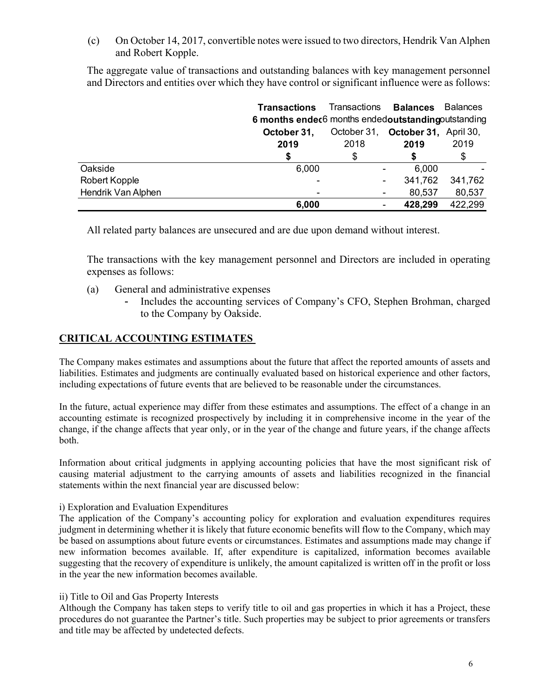(c) On October 14, 2017, convertible notes were issued to two directors, Hendrik Van Alphen and Robert Kopple.

The aggregate value of transactions and outstanding balances with key management personnel and Directors and entities over which they have control or significant influence were as follows:

|                    | <b>Transactions</b>                                | Transactions <b>Balances</b> |                                   | Balances |  |  |
|--------------------|----------------------------------------------------|------------------------------|-----------------------------------|----------|--|--|
|                    | 6 months ender6 months endedoutstandingoutstanding |                              |                                   |          |  |  |
|                    | October 31.                                        |                              | October 31, October 31, April 30, |          |  |  |
|                    | 2019                                               | 2018                         | 2019                              | 2019     |  |  |
|                    |                                                    | \$                           |                                   | \$       |  |  |
| Oakside            | 6,000                                              |                              | 6,000                             |          |  |  |
| Robert Kopple      |                                                    |                              | 341,762                           | 341,762  |  |  |
| Hendrik Van Alphen |                                                    |                              | 80,537                            | 80,537   |  |  |
|                    | 6,000                                              |                              | 428,299                           | 422,299  |  |  |

All related party balances are unsecured and are due upon demand without interest.

The transactions with the key management personnel and Directors are included in operating expenses as follows:

- (a) General and administrative expenses
	- Includes the accounting services of Company's CFO, Stephen Brohman, charged to the Company by Oakside.

### **CRITICAL ACCOUNTING ESTIMATES**

The Company makes estimates and assumptions about the future that affect the reported amounts of assets and liabilities. Estimates and judgments are continually evaluated based on historical experience and other factors, including expectations of future events that are believed to be reasonable under the circumstances.

In the future, actual experience may differ from these estimates and assumptions. The effect of a change in an accounting estimate is recognized prospectively by including it in comprehensive income in the year of the change, if the change affects that year only, or in the year of the change and future years, if the change affects both.

Information about critical judgments in applying accounting policies that have the most significant risk of causing material adjustment to the carrying amounts of assets and liabilities recognized in the financial statements within the next financial year are discussed below:

#### i) Exploration and Evaluation Expenditures

The application of the Company's accounting policy for exploration and evaluation expenditures requires judgment in determining whether it is likely that future economic benefits will flow to the Company, which may be based on assumptions about future events or circumstances. Estimates and assumptions made may change if new information becomes available. If, after expenditure is capitalized, information becomes available suggesting that the recovery of expenditure is unlikely, the amount capitalized is written off in the profit or loss in the year the new information becomes available.

#### ii) Title to Oil and Gas Property Interests

Although the Company has taken steps to verify title to oil and gas properties in which it has a Project, these procedures do not guarantee the Partner's title. Such properties may be subject to prior agreements or transfers and title may be affected by undetected defects.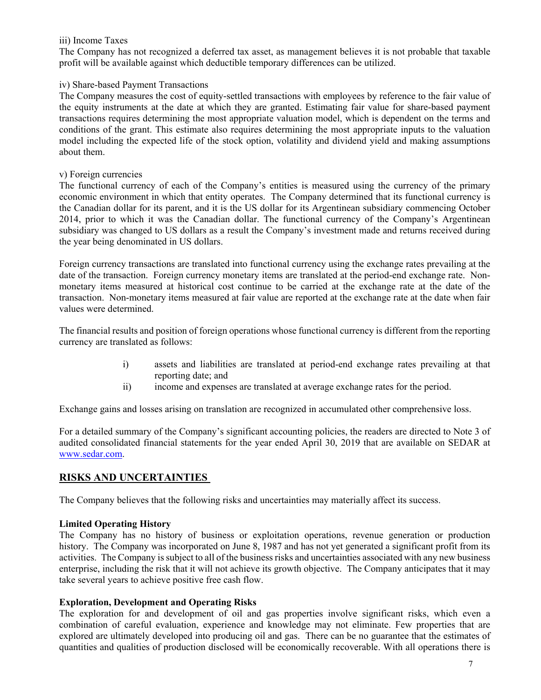#### iii) Income Taxes

The Company has not recognized a deferred tax asset, as management believes it is not probable that taxable profit will be available against which deductible temporary differences can be utilized.

#### iv) Share-based Payment Transactions

The Company measures the cost of equity-settled transactions with employees by reference to the fair value of the equity instruments at the date at which they are granted. Estimating fair value for share-based payment transactions requires determining the most appropriate valuation model, which is dependent on the terms and conditions of the grant. This estimate also requires determining the most appropriate inputs to the valuation model including the expected life of the stock option, volatility and dividend yield and making assumptions about them.

#### v) Foreign currencies

The functional currency of each of the Company's entities is measured using the currency of the primary economic environment in which that entity operates. The Company determined that its functional currency is the Canadian dollar for its parent, and it is the US dollar for its Argentinean subsidiary commencing October 2014, prior to which it was the Canadian dollar. The functional currency of the Company's Argentinean subsidiary was changed to US dollars as a result the Company's investment made and returns received during the year being denominated in US dollars.

Foreign currency transactions are translated into functional currency using the exchange rates prevailing at the date of the transaction. Foreign currency monetary items are translated at the period-end exchange rate. Nonmonetary items measured at historical cost continue to be carried at the exchange rate at the date of the transaction. Non-monetary items measured at fair value are reported at the exchange rate at the date when fair values were determined.

The financial results and position of foreign operations whose functional currency is different from the reporting currency are translated as follows:

- i) assets and liabilities are translated at period-end exchange rates prevailing at that reporting date; and
- ii) income and expenses are translated at average exchange rates for the period.

Exchange gains and losses arising on translation are recognized in accumulated other comprehensive loss.

For a detailed summary of the Company's significant accounting policies, the readers are directed to Note 3 of audited consolidated financial statements for the year ended April 30, 2019 that are available on SEDAR at www.sedar.com.

## **RISKS AND UNCERTAINTIES**

The Company believes that the following risks and uncertainties may materially affect its success.

#### **Limited Operating History**

The Company has no history of business or exploitation operations, revenue generation or production history. The Company was incorporated on June 8, 1987 and has not yet generated a significant profit from its activities. The Company is subject to all of the business risks and uncertainties associated with any new business enterprise, including the risk that it will not achieve its growth objective. The Company anticipates that it may take several years to achieve positive free cash flow.

#### **Exploration, Development and Operating Risks**

The exploration for and development of oil and gas properties involve significant risks, which even a combination of careful evaluation, experience and knowledge may not eliminate. Few properties that are explored are ultimately developed into producing oil and gas. There can be no guarantee that the estimates of quantities and qualities of production disclosed will be economically recoverable. With all operations there is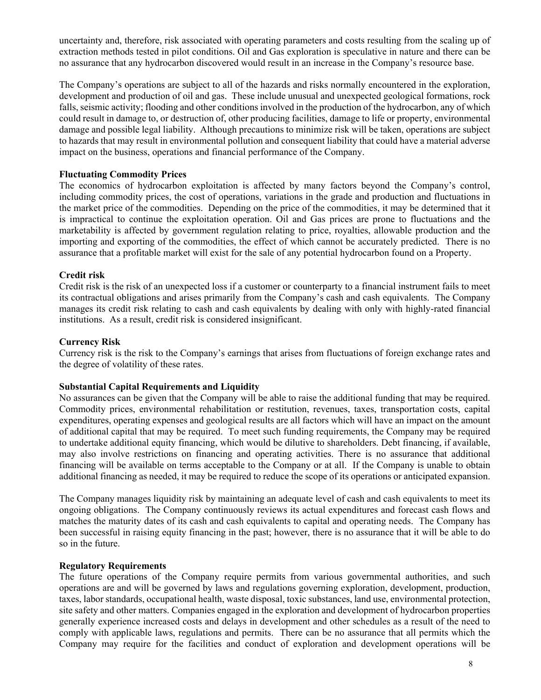uncertainty and, therefore, risk associated with operating parameters and costs resulting from the scaling up of extraction methods tested in pilot conditions. Oil and Gas exploration is speculative in nature and there can be no assurance that any hydrocarbon discovered would result in an increase in the Company's resource base.

The Company's operations are subject to all of the hazards and risks normally encountered in the exploration, development and production of oil and gas. These include unusual and unexpected geological formations, rock falls, seismic activity; flooding and other conditions involved in the production of the hydrocarbon, any of which could result in damage to, or destruction of, other producing facilities, damage to life or property, environmental damage and possible legal liability. Although precautions to minimize risk will be taken, operations are subject to hazards that may result in environmental pollution and consequent liability that could have a material adverse impact on the business, operations and financial performance of the Company.

### **Fluctuating Commodity Prices**

The economics of hydrocarbon exploitation is affected by many factors beyond the Company's control, including commodity prices, the cost of operations, variations in the grade and production and fluctuations in the market price of the commodities. Depending on the price of the commodities, it may be determined that it is impractical to continue the exploitation operation. Oil and Gas prices are prone to fluctuations and the marketability is affected by government regulation relating to price, royalties, allowable production and the importing and exporting of the commodities, the effect of which cannot be accurately predicted. There is no assurance that a profitable market will exist for the sale of any potential hydrocarbon found on a Property.

### **Credit risk**

Credit risk is the risk of an unexpected loss if a customer or counterparty to a financial instrument fails to meet its contractual obligations and arises primarily from the Company's cash and cash equivalents. The Company manages its credit risk relating to cash and cash equivalents by dealing with only with highly-rated financial institutions. As a result, credit risk is considered insignificant.

### **Currency Risk**

Currency risk is the risk to the Company's earnings that arises from fluctuations of foreign exchange rates and the degree of volatility of these rates.

#### **Substantial Capital Requirements and Liquidity**

No assurances can be given that the Company will be able to raise the additional funding that may be required. Commodity prices, environmental rehabilitation or restitution, revenues, taxes, transportation costs, capital expenditures, operating expenses and geological results are all factors which will have an impact on the amount of additional capital that may be required. To meet such funding requirements, the Company may be required to undertake additional equity financing, which would be dilutive to shareholders. Debt financing, if available, may also involve restrictions on financing and operating activities. There is no assurance that additional financing will be available on terms acceptable to the Company or at all. If the Company is unable to obtain additional financing as needed, it may be required to reduce the scope of its operations or anticipated expansion.

The Company manages liquidity risk by maintaining an adequate level of cash and cash equivalents to meet its ongoing obligations. The Company continuously reviews its actual expenditures and forecast cash flows and matches the maturity dates of its cash and cash equivalents to capital and operating needs. The Company has been successful in raising equity financing in the past; however, there is no assurance that it will be able to do so in the future.

### **Regulatory Requirements**

The future operations of the Company require permits from various governmental authorities, and such operations are and will be governed by laws and regulations governing exploration, development, production, taxes, labor standards, occupational health, waste disposal, toxic substances, land use, environmental protection, site safety and other matters. Companies engaged in the exploration and development of hydrocarbon properties generally experience increased costs and delays in development and other schedules as a result of the need to comply with applicable laws, regulations and permits. There can be no assurance that all permits which the Company may require for the facilities and conduct of exploration and development operations will be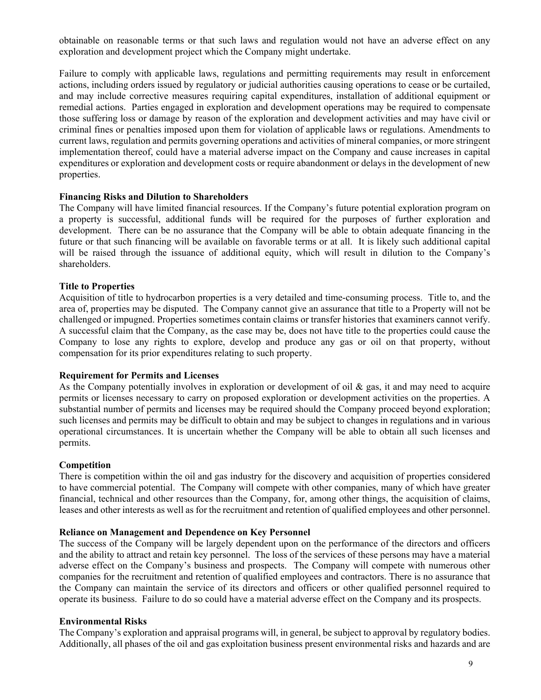obtainable on reasonable terms or that such laws and regulation would not have an adverse effect on any exploration and development project which the Company might undertake.

Failure to comply with applicable laws, regulations and permitting requirements may result in enforcement actions, including orders issued by regulatory or judicial authorities causing operations to cease or be curtailed, and may include corrective measures requiring capital expenditures, installation of additional equipment or remedial actions. Parties engaged in exploration and development operations may be required to compensate those suffering loss or damage by reason of the exploration and development activities and may have civil or criminal fines or penalties imposed upon them for violation of applicable laws or regulations. Amendments to current laws, regulation and permits governing operations and activities of mineral companies, or more stringent implementation thereof, could have a material adverse impact on the Company and cause increases in capital expenditures or exploration and development costs or require abandonment or delays in the development of new properties.

#### **Financing Risks and Dilution to Shareholders**

The Company will have limited financial resources. If the Company's future potential exploration program on a property is successful, additional funds will be required for the purposes of further exploration and development. There can be no assurance that the Company will be able to obtain adequate financing in the future or that such financing will be available on favorable terms or at all. It is likely such additional capital will be raised through the issuance of additional equity, which will result in dilution to the Company's shareholders.

#### **Title to Properties**

Acquisition of title to hydrocarbon properties is a very detailed and time-consuming process. Title to, and the area of, properties may be disputed. The Company cannot give an assurance that title to a Property will not be challenged or impugned. Properties sometimes contain claims or transfer histories that examiners cannot verify. A successful claim that the Company, as the case may be, does not have title to the properties could cause the Company to lose any rights to explore, develop and produce any gas or oil on that property, without compensation for its prior expenditures relating to such property.

#### **Requirement for Permits and Licenses**

As the Company potentially involves in exploration or development of oil & gas, it and may need to acquire permits or licenses necessary to carry on proposed exploration or development activities on the properties. A substantial number of permits and licenses may be required should the Company proceed beyond exploration; such licenses and permits may be difficult to obtain and may be subject to changes in regulations and in various operational circumstances. It is uncertain whether the Company will be able to obtain all such licenses and permits.

#### **Competition**

There is competition within the oil and gas industry for the discovery and acquisition of properties considered to have commercial potential. The Company will compete with other companies, many of which have greater financial, technical and other resources than the Company, for, among other things, the acquisition of claims, leases and other interests as well as for the recruitment and retention of qualified employees and other personnel.

#### **Reliance on Management and Dependence on Key Personnel**

The success of the Company will be largely dependent upon on the performance of the directors and officers and the ability to attract and retain key personnel. The loss of the services of these persons may have a material adverse effect on the Company's business and prospects. The Company will compete with numerous other companies for the recruitment and retention of qualified employees and contractors. There is no assurance that the Company can maintain the service of its directors and officers or other qualified personnel required to operate its business. Failure to do so could have a material adverse effect on the Company and its prospects.

#### **Environmental Risks**

The Company's exploration and appraisal programs will, in general, be subject to approval by regulatory bodies. Additionally, all phases of the oil and gas exploitation business present environmental risks and hazards and are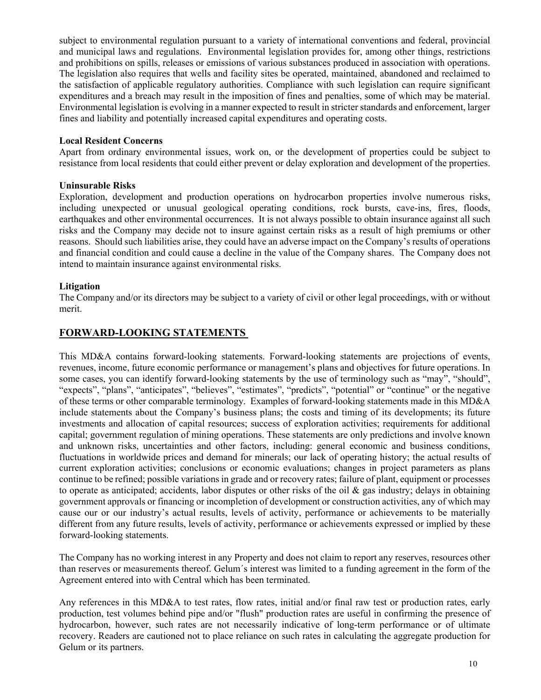subject to environmental regulation pursuant to a variety of international conventions and federal, provincial and municipal laws and regulations. Environmental legislation provides for, among other things, restrictions and prohibitions on spills, releases or emissions of various substances produced in association with operations. The legislation also requires that wells and facility sites be operated, maintained, abandoned and reclaimed to the satisfaction of applicable regulatory authorities. Compliance with such legislation can require significant expenditures and a breach may result in the imposition of fines and penalties, some of which may be material. Environmental legislation is evolving in a manner expected to result in stricter standards and enforcement, larger fines and liability and potentially increased capital expenditures and operating costs.

#### **Local Resident Concerns**

Apart from ordinary environmental issues, work on, or the development of properties could be subject to resistance from local residents that could either prevent or delay exploration and development of the properties.

#### **Uninsurable Risks**

Exploration, development and production operations on hydrocarbon properties involve numerous risks, including unexpected or unusual geological operating conditions, rock bursts, cave-ins, fires, floods, earthquakes and other environmental occurrences. It is not always possible to obtain insurance against all such risks and the Company may decide not to insure against certain risks as a result of high premiums or other reasons. Should such liabilities arise, they could have an adverse impact on the Company's results of operations and financial condition and could cause a decline in the value of the Company shares. The Company does not intend to maintain insurance against environmental risks.

#### **Litigation**

The Company and/or its directors may be subject to a variety of civil or other legal proceedings, with or without merit.

### **FORWARD-LOOKING STATEMENTS**

This MD&A contains forward-looking statements. Forward-looking statements are projections of events, revenues, income, future economic performance or management's plans and objectives for future operations. In some cases, you can identify forward-looking statements by the use of terminology such as "may", "should", "expects", "plans", "anticipates", "believes", "estimates", "predicts", "potential" or "continue" or the negative of these terms or other comparable terminology. Examples of forward-looking statements made in this MD&A include statements about the Company's business plans; the costs and timing of its developments; its future investments and allocation of capital resources; success of exploration activities; requirements for additional capital; government regulation of mining operations. These statements are only predictions and involve known and unknown risks, uncertainties and other factors, including: general economic and business conditions, fluctuations in worldwide prices and demand for minerals; our lack of operating history; the actual results of current exploration activities; conclusions or economic evaluations; changes in project parameters as plans continue to be refined; possible variations in grade and or recovery rates; failure of plant, equipment or processes to operate as anticipated; accidents, labor disputes or other risks of the oil & gas industry; delays in obtaining government approvals or financing or incompletion of development or construction activities, any of which may cause our or our industry's actual results, levels of activity, performance or achievements to be materially different from any future results, levels of activity, performance or achievements expressed or implied by these forward-looking statements.

The Company has no working interest in any Property and does not claim to report any reserves, resources other than reserves or measurements thereof. Gelum´s interest was limited to a funding agreement in the form of the Agreement entered into with Central which has been terminated.

Any references in this MD&A to test rates, flow rates, initial and/or final raw test or production rates, early production, test volumes behind pipe and/or "flush" production rates are useful in confirming the presence of hydrocarbon, however, such rates are not necessarily indicative of long-term performance or of ultimate recovery. Readers are cautioned not to place reliance on such rates in calculating the aggregate production for Gelum or its partners.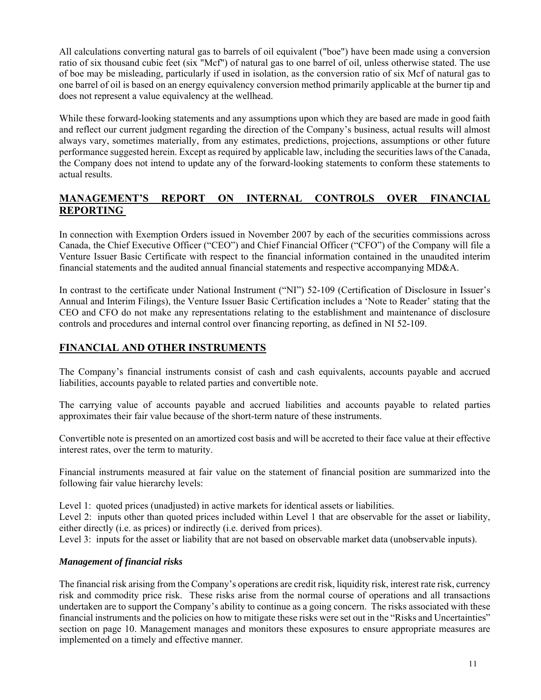All calculations converting natural gas to barrels of oil equivalent ("boe") have been made using a conversion ratio of six thousand cubic feet (six "Mcf") of natural gas to one barrel of oil, unless otherwise stated. The use of boe may be misleading, particularly if used in isolation, as the conversion ratio of six Mcf of natural gas to one barrel of oil is based on an energy equivalency conversion method primarily applicable at the burner tip and does not represent a value equivalency at the wellhead.

While these forward-looking statements and any assumptions upon which they are based are made in good faith and reflect our current judgment regarding the direction of the Company's business, actual results will almost always vary, sometimes materially, from any estimates, predictions, projections, assumptions or other future performance suggested herein. Except as required by applicable law, including the securities laws of the Canada, the Company does not intend to update any of the forward-looking statements to conform these statements to actual results.

## **MANAGEMENT'S REPORT ON INTERNAL CONTROLS OVER FINANCIAL REPORTING**

In connection with Exemption Orders issued in November 2007 by each of the securities commissions across Canada, the Chief Executive Officer ("CEO") and Chief Financial Officer ("CFO") of the Company will file a Venture Issuer Basic Certificate with respect to the financial information contained in the unaudited interim financial statements and the audited annual financial statements and respective accompanying MD&A.

In contrast to the certificate under National Instrument ("NI") 52-109 (Certification of Disclosure in Issuer's Annual and Interim Filings), the Venture Issuer Basic Certification includes a 'Note to Reader' stating that the CEO and CFO do not make any representations relating to the establishment and maintenance of disclosure controls and procedures and internal control over financing reporting, as defined in NI 52-109.

# **FINANCIAL AND OTHER INSTRUMENTS**

The Company's financial instruments consist of cash and cash equivalents, accounts payable and accrued liabilities, accounts payable to related parties and convertible note.

The carrying value of accounts payable and accrued liabilities and accounts payable to related parties approximates their fair value because of the short-term nature of these instruments.

Convertible note is presented on an amortized cost basis and will be accreted to their face value at their effective interest rates, over the term to maturity.

Financial instruments measured at fair value on the statement of financial position are summarized into the following fair value hierarchy levels:

Level 1: quoted prices (unadjusted) in active markets for identical assets or liabilities.

Level 2: inputs other than quoted prices included within Level 1 that are observable for the asset or liability, either directly (i.e. as prices) or indirectly (i.e. derived from prices).

Level 3: inputs for the asset or liability that are not based on observable market data (unobservable inputs).

### *Management of financial risks*

The financial risk arising from the Company's operations are credit risk, liquidity risk, interest rate risk, currency risk and commodity price risk. These risks arise from the normal course of operations and all transactions undertaken are to support the Company's ability to continue as a going concern. The risks associated with these financial instruments and the policies on how to mitigate these risks were set out in the "Risks and Uncertainties" section on page 10. Management manages and monitors these exposures to ensure appropriate measures are implemented on a timely and effective manner.